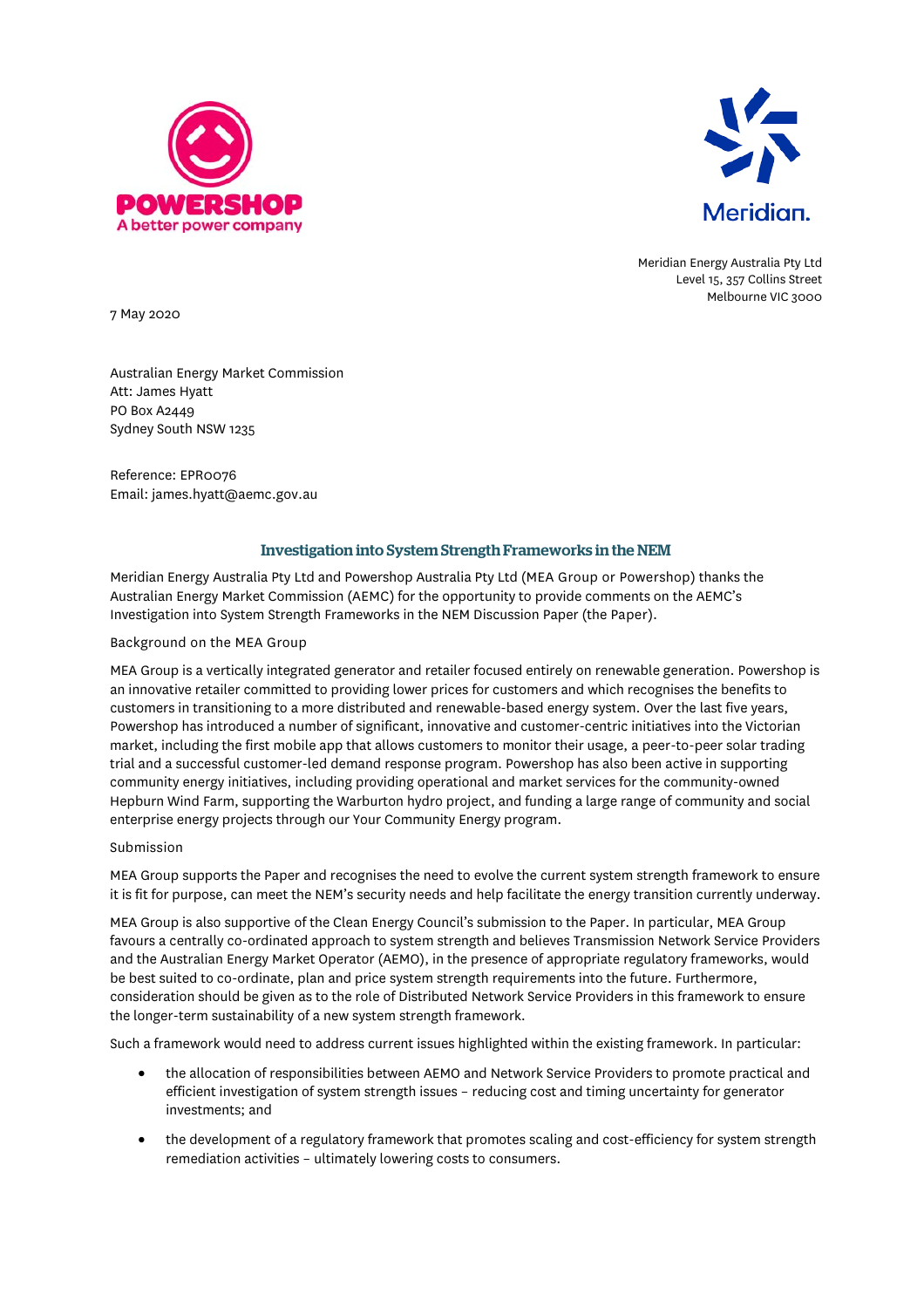



Meridian Energy Australia Pty Ltd Level 15, 357 Collins Street Melbourne VIC 3000

7 May 2020

Australian Energy Market Commission Att: James Hyatt PO Box A2449 Sydney South NSW 1235

Reference: EPR0076 Email: james.hyatt@aemc.gov.au

## Investigation into System Strength Frameworks in the NEM

Meridian Energy Australia Pty Ltd and Powershop Australia Pty Ltd (MEA Group or Powershop) thanks the Australian Energy Market Commission (AEMC) for the opportunity to provide comments on the AEMC's Investigation into System Strength Frameworks in the NEM Discussion Paper (the Paper).

Background on the MEA Group

MEA Group is a vertically integrated generator and retailer focused entirely on renewable generation. Powershop is an innovative retailer committed to providing lower prices for customers and which recognises the benefits to customers in transitioning to a more distributed and renewable-based energy system. Over the last five years, Powershop has introduced a number of significant, innovative and customer-centric initiatives into the Victorian market, including the first mobile app that allows customers to monitor their usage, a peer-to-peer solar trading trial and a successful customer-led demand response program. Powershop has also been active in supporting community energy initiatives, including providing operational and market services for the community-owned Hepburn Wind Farm, supporting the Warburton hydro project, and funding a large range of community and social enterprise energy projects through our Your Community Energy program.

## Submission

MEA Group supports the Paper and recognises the need to evolve the current system strength framework to ensure it is fit for purpose, can meet the NEM's security needs and help facilitate the energy transition currently underway.

MEA Group is also supportive of the Clean Energy Council's submission to the Paper. In particular, MEA Group favours a centrally co-ordinated approach to system strength and believes Transmission Network Service Providers and the Australian Energy Market Operator (AEMO), in the presence of appropriate regulatory frameworks, would be best suited to co-ordinate, plan and price system strength requirements into the future. Furthermore, consideration should be given as to the role of Distributed Network Service Providers in this framework to ensure the longer-term sustainability of a new system strength framework.

Such a framework would need to address current issues highlighted within the existing framework. In particular:

- the allocation of responsibilities between AEMO and Network Service Providers to promote practical and efficient investigation of system strength issues – reducing cost and timing uncertainty for generator investments; and
- the development of a regulatory framework that promotes scaling and cost-efficiency for system strength remediation activities – ultimately lowering costs to consumers.